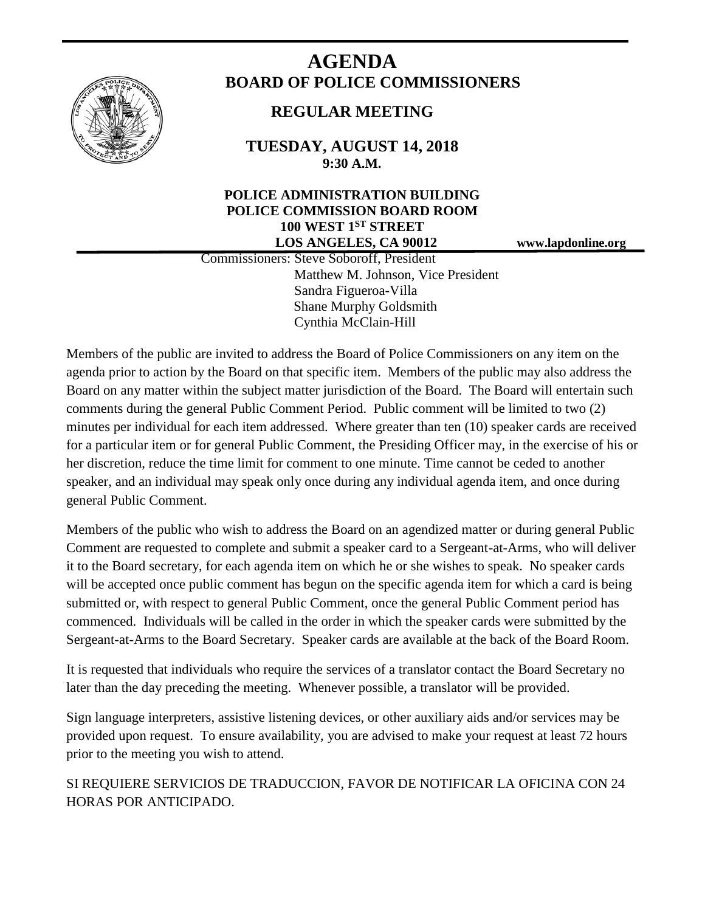

# **AGENDA BOARD OF POLICE COMMISSIONERS**

## **REGULAR MEETING**

**TUESDAY, AUGUST 14, 2018 9:30 A.M.**

### **POLICE ADMINISTRATION BUILDING POLICE COMMISSION BOARD ROOM 100 WEST 1ST STREET LOS ANGELES, CA 90012 www.lapdonline.org**

 Commissioners: Steve Soboroff, President Matthew M. Johnson, Vice President Sandra Figueroa-Villa Shane Murphy Goldsmith Cynthia McClain-Hill

Members of the public are invited to address the Board of Police Commissioners on any item on the agenda prior to action by the Board on that specific item. Members of the public may also address the Board on any matter within the subject matter jurisdiction of the Board. The Board will entertain such comments during the general Public Comment Period. Public comment will be limited to two (2) minutes per individual for each item addressed. Where greater than ten (10) speaker cards are received for a particular item or for general Public Comment, the Presiding Officer may, in the exercise of his or her discretion, reduce the time limit for comment to one minute. Time cannot be ceded to another speaker, and an individual may speak only once during any individual agenda item, and once during general Public Comment.

Members of the public who wish to address the Board on an agendized matter or during general Public Comment are requested to complete and submit a speaker card to a Sergeant-at-Arms, who will deliver it to the Board secretary, for each agenda item on which he or she wishes to speak. No speaker cards will be accepted once public comment has begun on the specific agenda item for which a card is being submitted or, with respect to general Public Comment, once the general Public Comment period has commenced. Individuals will be called in the order in which the speaker cards were submitted by the Sergeant-at-Arms to the Board Secretary. Speaker cards are available at the back of the Board Room.

It is requested that individuals who require the services of a translator contact the Board Secretary no later than the day preceding the meeting. Whenever possible, a translator will be provided.

Sign language interpreters, assistive listening devices, or other auxiliary aids and/or services may be provided upon request. To ensure availability, you are advised to make your request at least 72 hours prior to the meeting you wish to attend.

SI REQUIERE SERVICIOS DE TRADUCCION, FAVOR DE NOTIFICAR LA OFICINA CON 24 HORAS POR ANTICIPADO.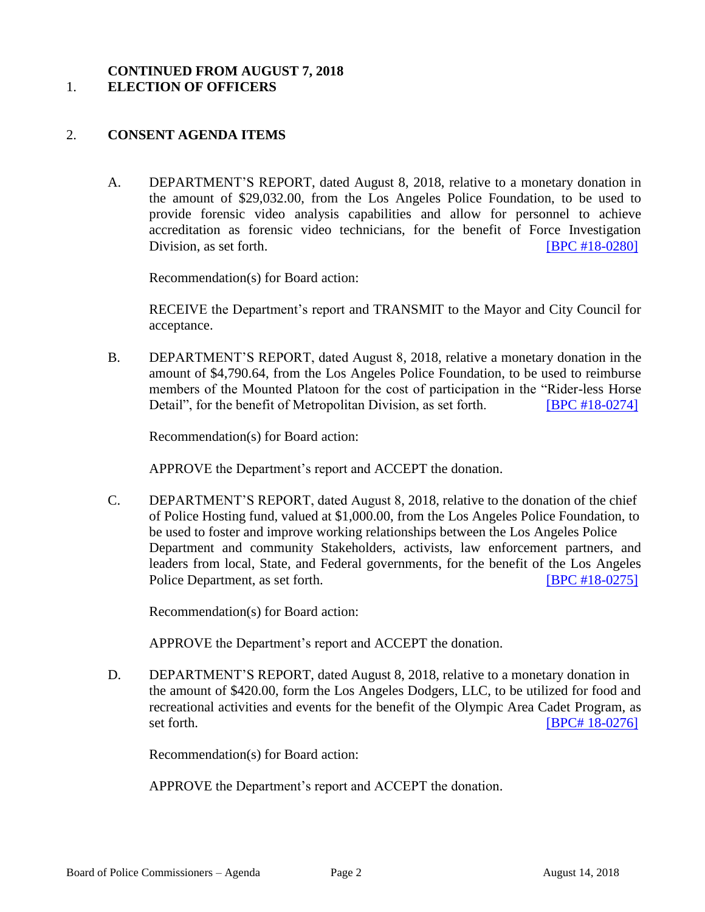#### **CONTINUED FROM AUGUST 7, 2018** 1. **ELECTION OF OFFICERS**

#### 2. **CONSENT AGENDA ITEMS**

A. DEPARTMENT'S REPORT, dated August 8, 2018, relative to a monetary donation in the amount of \$29,032.00, from the Los Angeles Police Foundation, to be used to provide forensic video analysis capabilities and allow for personnel to achieve accreditation as forensic video technicians, for the benefit of Force Investigation Division, as set forth. **IDEN EXECUTE:** [\[BPC #18-0280\]](http://www.lapdpolicecom.lacity.org/081418/BPC_18-0280.pdf)

Recommendation(s) for Board action:

RECEIVE the Department's report and TRANSMIT to the Mayor and City Council for acceptance.

B. DEPARTMENT'S REPORT, dated August 8, 2018, relative a monetary donation in the amount of \$4,790.64, from the Los Angeles Police Foundation, to be used to reimburse members of the Mounted Platoon for the cost of participation in the "Rider-less Horse Detail", for the benefit of Metropolitan Division, as set forth. **[\[BPC #18-0274\]](http://www.lapdpolicecom.lacity.org/081418/BPC_18-0274.pdf)** 

Recommendation(s) for Board action:

APPROVE the Department's report and ACCEPT the donation.

C. DEPARTMENT'S REPORT, dated August 8, 2018, relative to the donation of the chief of Police Hosting fund, valued at \$1,000.00, from the Los Angeles Police Foundation, to be used to foster and improve working relationships between the Los Angeles Police Department and community Stakeholders, activists, law enforcement partners, and leaders from local, State, and Federal governments, for the benefit of the Los Angeles Police Department, as set forth. **IBPC #18-0275** 

Recommendation(s) for Board action:

APPROVE the Department's report and ACCEPT the donation.

D. DEPARTMENT'S REPORT, dated August 8, 2018, relative to a monetary donation in the amount of \$420.00, form the Los Angeles Dodgers, LLC, to be utilized for food and recreational activities and events for the benefit of the Olympic Area Cadet Program, as set forth. **IBPC# 18-0276** 

Recommendation(s) for Board action:

APPROVE the Department's report and ACCEPT the donation.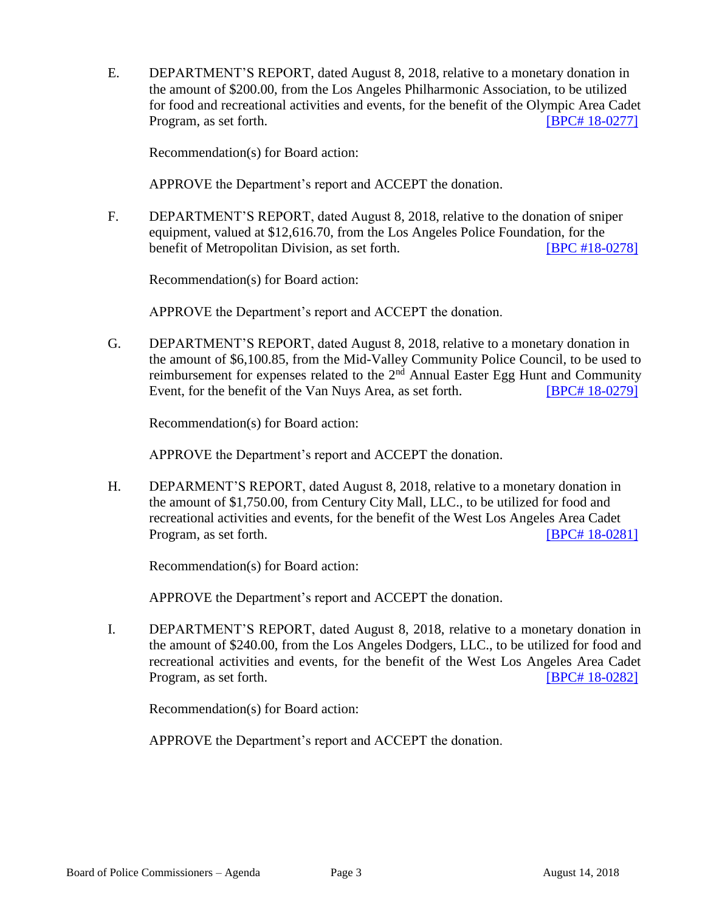E. DEPARTMENT'S REPORT, dated August 8, 2018, relative to a monetary donation in the amount of \$200.00, from the Los Angeles Philharmonic Association, to be utilized for food and recreational activities and events, for the benefit of the Olympic Area Cadet Program, as set forth. **IDPC 4** [18-0277\]](http://www.lapdpolicecom.lacity.org/081418/BPC_18-0277.pdf)

Recommendation(s) for Board action:

APPROVE the Department's report and ACCEPT the donation.

F. DEPARTMENT'S REPORT, dated August 8, 2018, relative to the donation of sniper equipment, valued at \$12,616.70, from the Los Angeles Police Foundation, for the benefit of Metropolitan Division, as set forth. **[\[BPC #18-0278\]](http://www.lapdpolicecom.lacity.org/081418/BPC_18-0278.pdf)** 

Recommendation(s) for Board action:

APPROVE the Department's report and ACCEPT the donation.

G. DEPARTMENT'S REPORT, dated August 8, 2018, relative to a monetary donation in the amount of \$6,100.85, from the Mid-Valley Community Police Council, to be used to reimbursement for expenses related to the  $2<sup>nd</sup>$  Annual Easter Egg Hunt and Community Event, for the benefit of the Van Nuys Area, as set forth. [BPC# [18-0279\]](http://www.lapdpolicecom.lacity.org/081418/BPC_18-0279.pdf)

Recommendation(s) for Board action:

APPROVE the Department's report and ACCEPT the donation.

H. DEPARMENT'S REPORT, dated August 8, 2018, relative to a monetary donation in the amount of \$1,750.00, from Century City Mall, LLC., to be utilized for food and recreational activities and events, for the benefit of the West Los Angeles Area Cadet Program, as set forth. **IDPC# 18-0281** 

Recommendation(s) for Board action:

APPROVE the Department's report and ACCEPT the donation.

I. DEPARTMENT'S REPORT, dated August 8, 2018, relative to a monetary donation in the amount of \$240.00, from the Los Angeles Dodgers, LLC., to be utilized for food and recreational activities and events, for the benefit of the West Los Angeles Area Cadet Program, as set forth. [BPC# [18-0282\]](http://www.lapdpolicecom.lacity.org/081418/BPC_18-0282.pdf)

Recommendation(s) for Board action:

APPROVE the Department's report and ACCEPT the donation.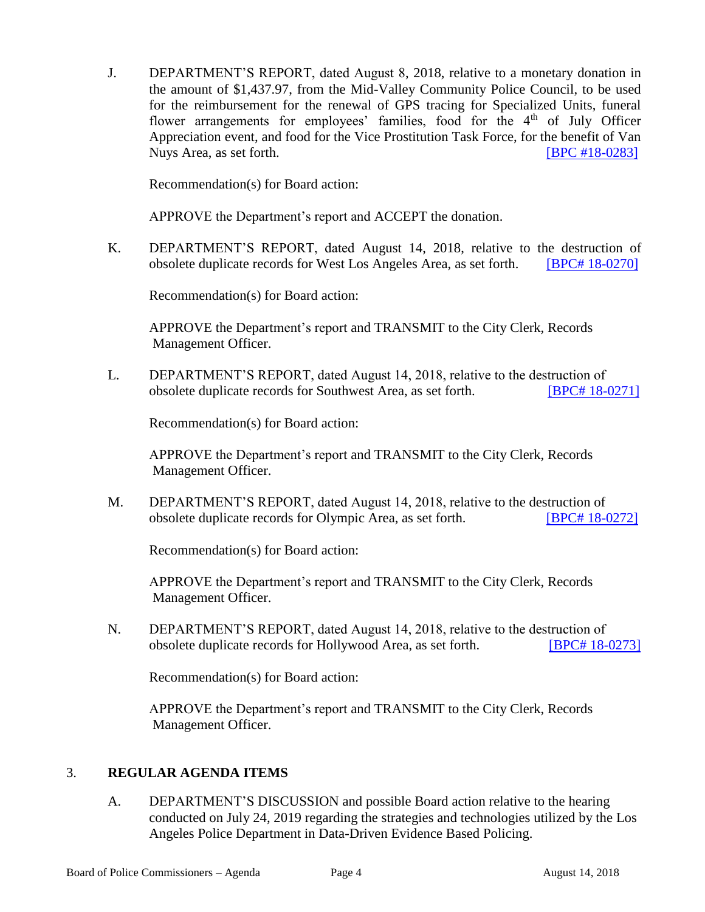J. DEPARTMENT'S REPORT, dated August 8, 2018, relative to a monetary donation in the amount of \$1,437.97, from the Mid-Valley Community Police Council, to be used for the reimbursement for the renewal of GPS tracing for Specialized Units, funeral flower arrangements for employees' families, food for the 4<sup>th</sup> of July Officer Appreciation event, and food for the Vice Prostitution Task Force, for the benefit of Van Nuys Area, as set forth. **IDPC #18-0283** 

Recommendation(s) for Board action:

APPROVE the Department's report and ACCEPT the donation.

K. DEPARTMENT'S REPORT, dated August 14, 2018, relative to the destruction of obsolete duplicate records for West Los Angeles Area, as set forth. [BPC# [18-0270\]](http://www.lapdpolicecom.lacity.org/081418/BPC_18-0270.pdf)

Recommendation(s) for Board action:

APPROVE the Department's report and TRANSMIT to the City Clerk, Records Management Officer.

L. DEPARTMENT'S REPORT, dated August 14, 2018, relative to the destruction of obsolete duplicate records for Southwest Area, as set forth. [\[BPC# 18-0271\]](http://www.lapdpolicecom.lacity.org/081418/BPC_18-0271.pdf)

Recommendation(s) for Board action:

APPROVE the Department's report and TRANSMIT to the City Clerk, Records Management Officer.

M. DEPARTMENT'S REPORT, dated August 14, 2018, relative to the destruction of obsolete duplicate records for Olympic Area, as set forth. [\[BPC# 18-0272\]](http://www.lapdpolicecom.lacity.org/081418/BPC_18-0272.pdf)

Recommendation(s) for Board action:

APPROVE the Department's report and TRANSMIT to the City Clerk, Records Management Officer.

N. DEPARTMENT'S REPORT, dated August 14, 2018, relative to the destruction of obsolete duplicate records for Hollywood Area, as set forth. [\[BPC# 18-0273\]](http://www.lapdpolicecom.lacity.org/081418/BPC_18-0273.pdf)

Recommendation(s) for Board action:

APPROVE the Department's report and TRANSMIT to the City Clerk, Records Management Officer.

#### 3. **REGULAR AGENDA ITEMS**

A. DEPARTMENT'S DISCUSSION and possible Board action relative to the hearing conducted on July 24, 2019 regarding the strategies and technologies utilized by the Los Angeles Police Department in Data-Driven Evidence Based Policing.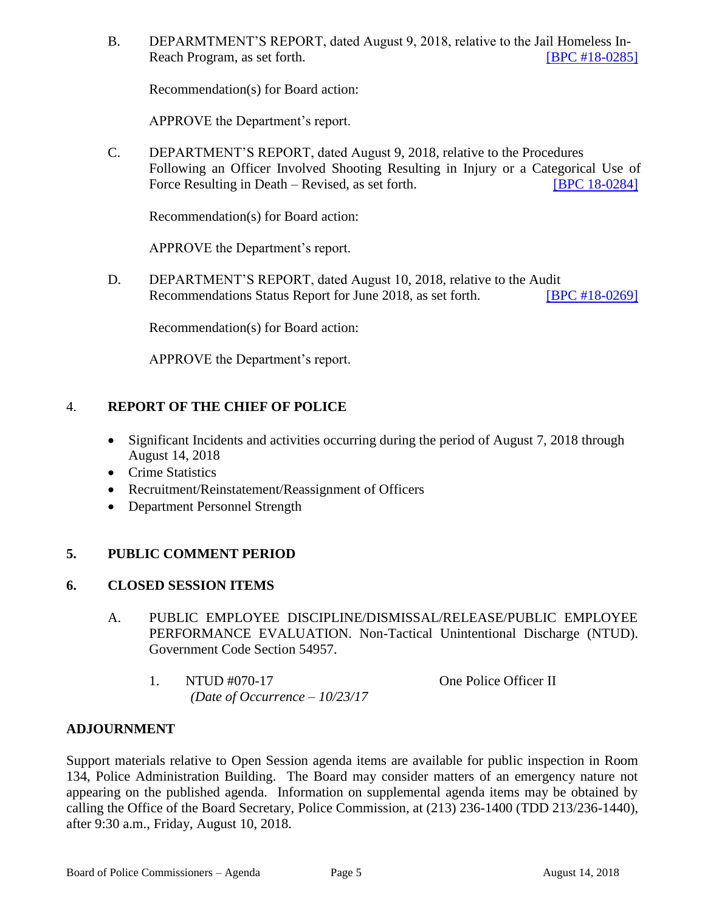B. DEPARMTMENT'S REPORT, dated August 9, 2018, relative to the Jail Homeless In-Reach Program, as set forth. [\[BPC #18-0285\]](http://www.lapdpolicecom.lacity.org/081418/BPC_18-0285.pdf)

Recommendation(s) for Board action:

APPROVE the Department's report.

C. DEPARTMENT'S REPORT, dated August 9, 2018, relative to the Procedures Following an Officer Involved Shooting Resulting in Injury or a Categorical Use of Force Resulting in Death – Revised, as set forth. [\[BPC 18-0284\]](http://www.lapdpolicecom.lacity.org/081418/BPC_18-0284.pdf)

Recommendation(s) for Board action:

APPROVE the Department's report.

D. DEPARTMENT'S REPORT, dated August 10, 2018, relative to the Audit Recommendations Status Report for June 2018, as set forth. [\[BPC #18-0269\]](http://www.lapdpolicecom.lacity.org/081418/BPC_18-0269.pdf)

Recommendation(s) for Board action:

APPROVE the Department's report.

#### 4. **REPORT OF THE CHIEF OF POLICE**

- Significant Incidents and activities occurring during the period of August 7, 2018 through August 14, 2018
- Crime Statistics
- Recruitment/Reinstatement/Reassignment of Officers
- Department Personnel Strength

#### **5. PUBLIC COMMENT PERIOD**

#### **6. CLOSED SESSION ITEMS**

- A. PUBLIC EMPLOYEE DISCIPLINE/DISMISSAL/RELEASE/PUBLIC EMPLOYEE PERFORMANCE EVALUATION. Non-Tactical Unintentional Discharge (NTUD). Government Code Section 54957.
	- 1. NTUD #070-17 One Police Officer II *(Date of Occurrence – 10/23/17*

#### **ADJOURNMENT**

Support materials relative to Open Session agenda items are available for public inspection in Room 134, Police Administration Building. The Board may consider matters of an emergency nature not appearing on the published agenda. Information on supplemental agenda items may be obtained by calling the Office of the Board Secretary, Police Commission, at (213) 236-1400 (TDD 213/236-1440), after 9:30 a.m., Friday, August 10, 2018.